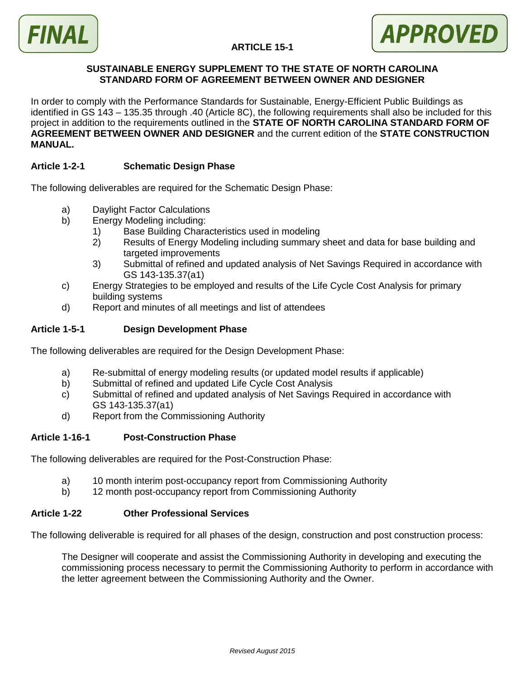

# **ARTICLE 15-1**

#### **SUSTAINABLE ENERGY SUPPLEMENT TO THE STATE OF NORTH CAROLINA STANDARD FORM OF AGREEMENT BETWEEN OWNER AND DESIGNER**

In order to comply with the Performance Standards for Sustainable, Energy-Efficient Public Buildings as identified in GS 143 – 135.35 through .40 (Article 8C), the following requirements shall also be included for this project in addition to the requirements outlined in the **STATE OF NORTH CAROLINA STANDARD FORM OF AGREEMENT BETWEEN OWNER AND DESIGNER** and the current edition of the **STATE CONSTRUCTION MANUAL.**

#### **Article 1-2-1 Schematic Design Phase**

The following deliverables are required for the Schematic Design Phase:

- a) Daylight Factor Calculations
- b) Energy Modeling including:
	- 1) Base Building Characteristics used in modeling
	- 2) Results of Energy Modeling including summary sheet and data for base building and targeted improvements
	- 3) Submittal of refined and updated analysis of Net Savings Required in accordance with GS 143-135.37(a1)
- c) Energy Strategies to be employed and results of the Life Cycle Cost Analysis for primary building systems
- d) Report and minutes of all meetings and list of attendees

# **Article 1-5-1 Design Development Phase**

The following deliverables are required for the Design Development Phase:

- a) Re-submittal of energy modeling results (or updated model results if applicable)
- b) Submittal of refined and updated Life Cycle Cost Analysis
- c) Submittal of refined and updated analysis of Net Savings Required in accordance with GS 143-135.37(a1)
- d) Report from the Commissioning Authority

### **Article 1-16-1 Post-Construction Phase**

The following deliverables are required for the Post-Construction Phase:

- a) 10 month interim post-occupancy report from Commissioning Authority
- b) 12 month post-occupancy report from Commissioning Authority

#### **Article 1-22 Other Professional Services**

The following deliverable is required for all phases of the design, construction and post construction process:

The Designer will cooperate and assist the Commissioning Authority in developing and executing the commissioning process necessary to permit the Commissioning Authority to perform in accordance with the letter agreement between the Commissioning Authority and the Owner.